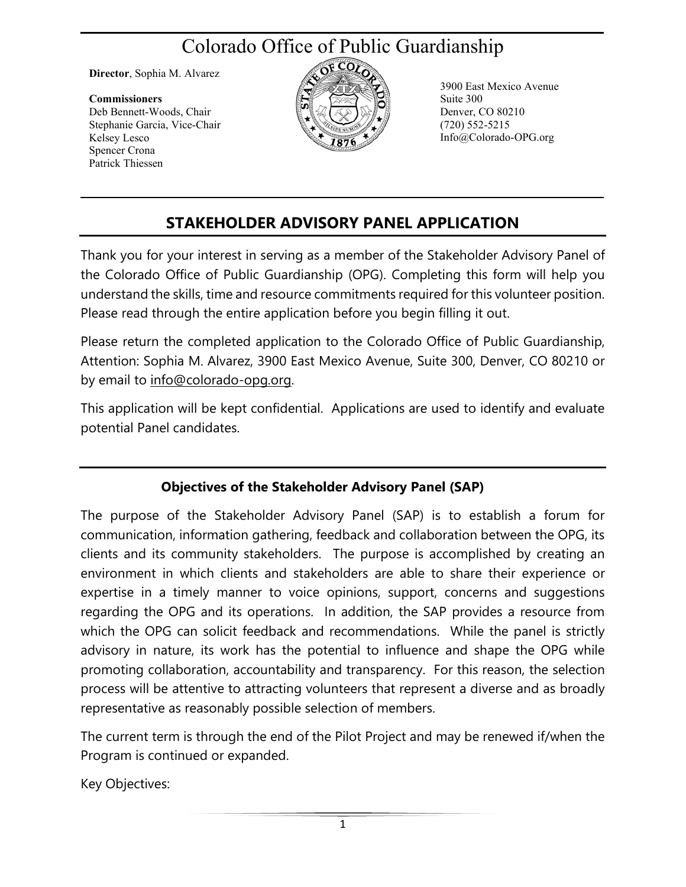# Colorado Office of Public Guardianship

**Director**, Sophia M. Alvarez

#### **Commissioners** Deb Bennett-Woods, Chair

Stephanie Garcia, Vice-Chair Kelsey Lesco Spencer Crona Patrick Thiessen



3900 East Mexico Avenue Suite 300 Denver, CO 80210 (720) 552-5215 Info@Colorado-OPG.org

## **STAKEHOLDER ADVISORY PANEL APPLICATION**

Thank you for your interest in serving as a member of the Stakeholder Advisory Panel of the Colorado Office of Public Guardianship (OPG). Completing this form will help you understand the skills, time and resource commitments required for this volunteer position. Please read through the entire application before you begin filling it out.

Please return the completed application to the Colorado Office of Public Guardianship, Attention: Sophia M. Alvarez, 3900 East Mexico Avenue, Suite 300, Denver, CO 80210 or by email to [info@colorado-opg.org.](mailto:info@colorado-opg.org)

This application will be kept confidential. Applications are used to identify and evaluate potential Panel candidates.

#### **Objectives of the Stakeholder Advisory Panel (SAP)**

The purpose of the Stakeholder Advisory Panel (SAP) is to establish a forum for communication, information gathering, feedback and collaboration between the OPG, its clients and its community stakeholders. The purpose is accomplished by creating an environment in which clients and stakeholders are able to share their experience or expertise in a timely manner to voice opinions, support, concerns and suggestions regarding the OPG and its operations. In addition, the SAP provides a resource from which the OPG can solicit feedback and recommendations. While the panel is strictly advisory in nature, its work has the potential to influence and shape the OPG while promoting collaboration, accountability and transparency. For this reason, the selection process will be attentive to attracting volunteers that represent a diverse and as broadly representative as reasonably possible selection of members.

The current term is through the end of the Pilot Project and may be renewed if/when the Program is continued or expanded.

Key Objectives: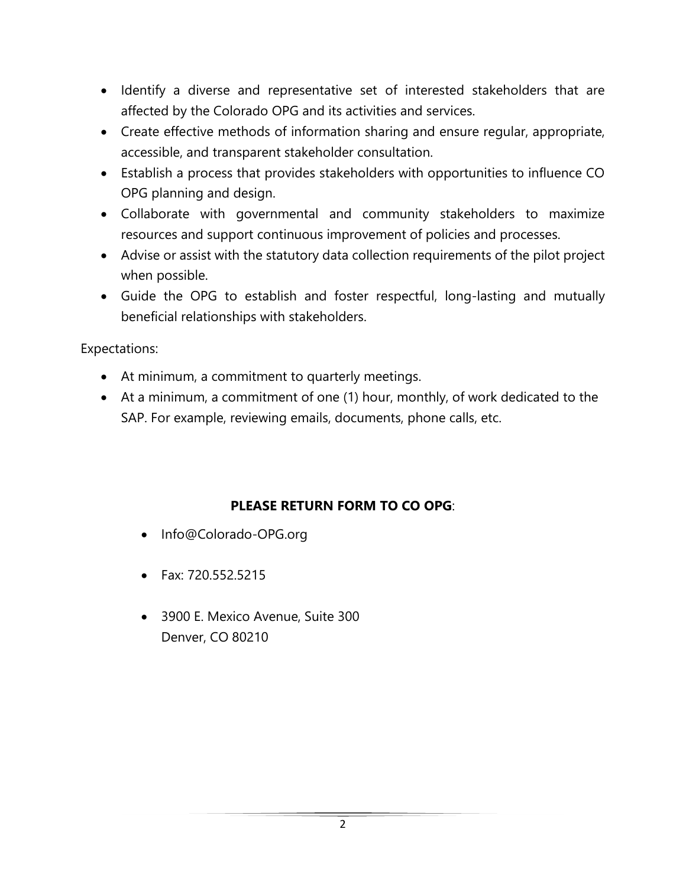- Identify a diverse and representative set of interested stakeholders that are affected by the Colorado OPG and its activities and services.
- Create effective methods of information sharing and ensure regular, appropriate, accessible, and transparent stakeholder consultation.
- Establish a process that provides stakeholders with opportunities to influence CO OPG planning and design.
- Collaborate with governmental and community stakeholders to maximize resources and support continuous improvement of policies and processes.
- Advise or assist with the statutory data collection requirements of the pilot project when possible.
- Guide the OPG to establish and foster respectful, long-lasting and mutually beneficial relationships with stakeholders.

Expectations:

- At minimum, a commitment to quarterly meetings.
- At a minimum, a commitment of one (1) hour, monthly, of work dedicated to the SAP. For example, reviewing emails, documents, phone calls, etc.

#### **PLEASE RETURN FORM TO CO OPG**:

- Info@Colorado-OPG.org
- Fax: 720.552.5215
- 3900 E. Mexico Avenue, Suite 300 Denver, CO 80210